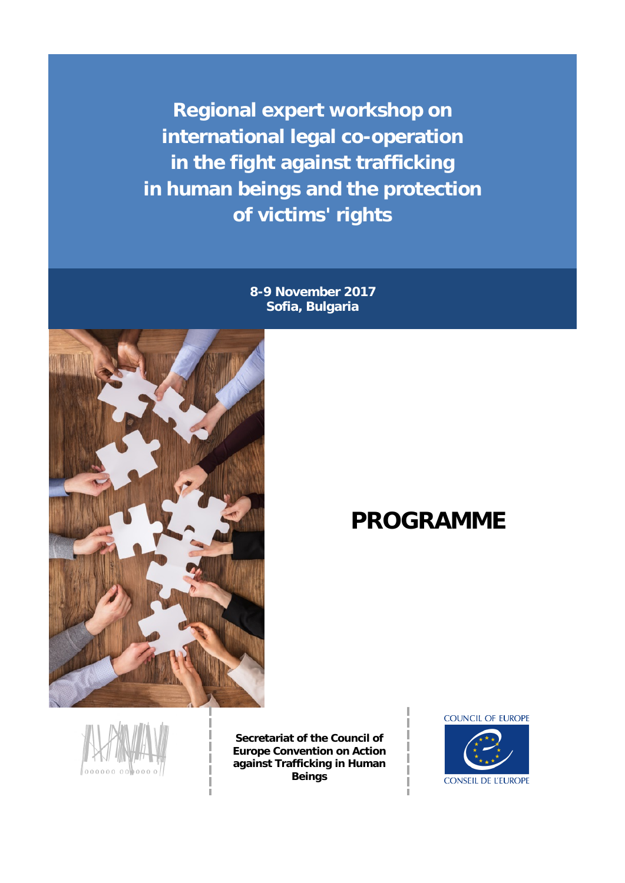**Regional expert workshop on international legal co-operation in the fight against trafficking in human beings and the protection of victims' rights**

> **8-9 November 2017 Sofia, Bulgaria**



## $PROGRAMME$



**Secretariat of the Council of Europe Convention on Action against Trafficking in Human Beings**

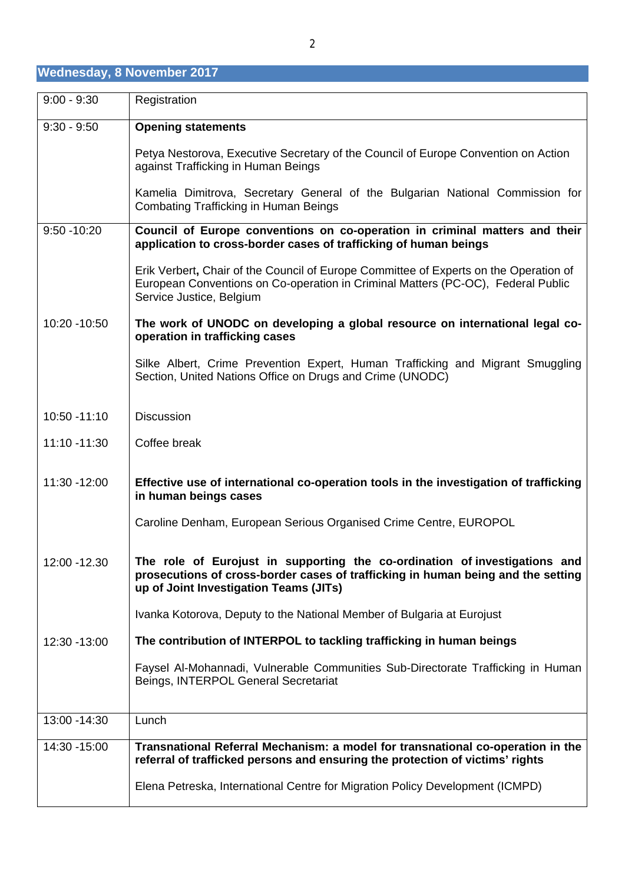| Wednesday, 8 November 2017, |  |  |
|-----------------------------|--|--|
|                             |  |  |

| $9:00 - 9:30$  | Registration                                                                                                                                                                                             |
|----------------|----------------------------------------------------------------------------------------------------------------------------------------------------------------------------------------------------------|
| $9:30 - 9:50$  | <b>Opening statements</b>                                                                                                                                                                                |
|                | Petya Nestorova, Executive Secretary of the Council of Europe Convention on Action<br>against Trafficking in Human Beings                                                                                |
|                | Kamelia Dimitrova, Secretary General of the Bulgarian National Commission for<br><b>Combating Trafficking in Human Beings</b>                                                                            |
| $9:50 - 10:20$ | Council of Europe conventions on co-operation in criminal matters and their<br>application to cross-border cases of trafficking of human beings                                                          |
|                | Erik Verbert, Chair of the Council of Europe Committee of Experts on the Operation of<br>European Conventions on Co-operation in Criminal Matters (PC-OC), Federal Public<br>Service Justice, Belgium    |
| 10:20 - 10:50  | The work of UNODC on developing a global resource on international legal co-<br>operation in trafficking cases                                                                                           |
|                | Silke Albert, Crime Prevention Expert, Human Trafficking and Migrant Smuggling<br>Section, United Nations Office on Drugs and Crime (UNODC)                                                              |
| 10:50 -11:10   | <b>Discussion</b>                                                                                                                                                                                        |
| 11:10 -11:30   | Coffee break                                                                                                                                                                                             |
| 11:30 -12:00   | Effective use of international co-operation tools in the investigation of trafficking<br>in human beings cases                                                                                           |
|                | Caroline Denham, European Serious Organised Crime Centre, EUROPOL                                                                                                                                        |
| 12:00 - 12.30  | The role of Eurojust in supporting the co-ordination of investigations and<br>prosecutions of cross-border cases of trafficking in human being and the setting<br>up of Joint Investigation Teams (JITs) |
|                | Ivanka Kotorova, Deputy to the National Member of Bulgaria at Eurojust                                                                                                                                   |
| 12:30 - 13:00  | The contribution of INTERPOL to tackling trafficking in human beings                                                                                                                                     |
|                | Faysel Al-Mohannadi, Vulnerable Communities Sub-Directorate Trafficking in Human<br>Beings, INTERPOL General Secretariat                                                                                 |
| 13:00 - 14:30  | Lunch                                                                                                                                                                                                    |
| 14:30 - 15:00  | Transnational Referral Mechanism: a model for transnational co-operation in the<br>referral of trafficked persons and ensuring the protection of victims' rights                                         |
|                | Elena Petreska, International Centre for Migration Policy Development (ICMPD)                                                                                                                            |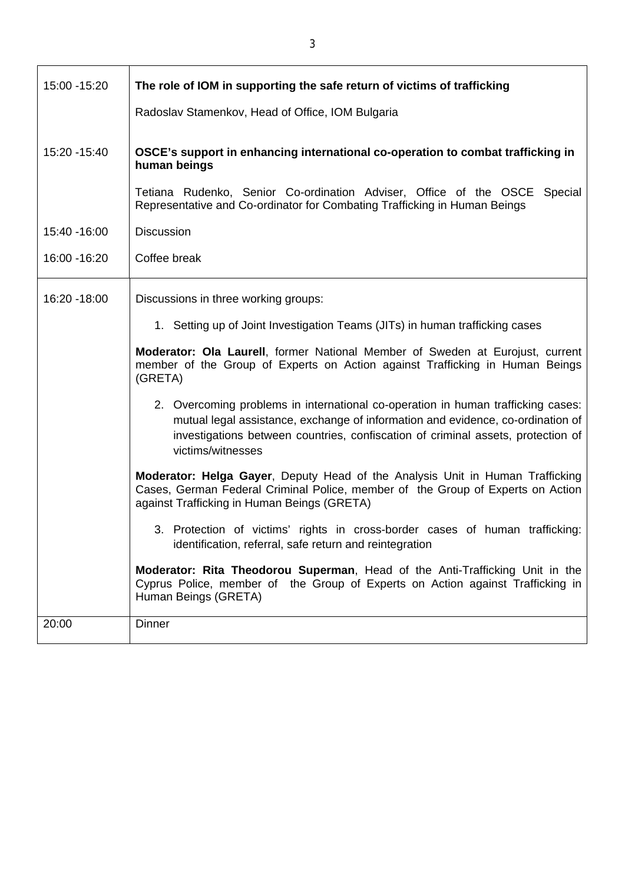| 15:00 - 15:20 | The role of IOM in supporting the safe return of victims of trafficking                                                                                                                                                                                                      |
|---------------|------------------------------------------------------------------------------------------------------------------------------------------------------------------------------------------------------------------------------------------------------------------------------|
|               | Radoslav Stamenkov, Head of Office, IOM Bulgaria                                                                                                                                                                                                                             |
| 15:20 - 15:40 | OSCE's support in enhancing international co-operation to combat trafficking in<br>human beings                                                                                                                                                                              |
|               | Tetiana Rudenko, Senior Co-ordination Adviser, Office of the OSCE Special<br>Representative and Co-ordinator for Combating Trafficking in Human Beings                                                                                                                       |
| 15:40 - 16:00 | <b>Discussion</b>                                                                                                                                                                                                                                                            |
| 16:00 - 16:20 | Coffee break                                                                                                                                                                                                                                                                 |
| 16:20 - 18:00 | Discussions in three working groups:                                                                                                                                                                                                                                         |
|               | 1. Setting up of Joint Investigation Teams (JITs) in human trafficking cases                                                                                                                                                                                                 |
|               | Moderator: Ola Laurell, former National Member of Sweden at Eurojust, current<br>member of the Group of Experts on Action against Trafficking in Human Beings<br>(GRETA)                                                                                                     |
|               | 2. Overcoming problems in international co-operation in human trafficking cases:<br>mutual legal assistance, exchange of information and evidence, co-ordination of<br>investigations between countries, confiscation of criminal assets, protection of<br>victims/witnesses |
|               | Moderator: Helga Gayer, Deputy Head of the Analysis Unit in Human Trafficking<br>Cases, German Federal Criminal Police, member of the Group of Experts on Action<br>against Trafficking in Human Beings (GRETA)                                                              |
|               | 3. Protection of victims' rights in cross-border cases of human trafficking:<br>identification, referral, safe return and reintegration                                                                                                                                      |
|               | Moderator: Rita Theodorou Superman, Head of the Anti-Trafficking Unit in the<br>Cyprus Police, member of the Group of Experts on Action against Trafficking in<br>Human Beings (GRETA)                                                                                       |
| 20:00         | <b>Dinner</b>                                                                                                                                                                                                                                                                |